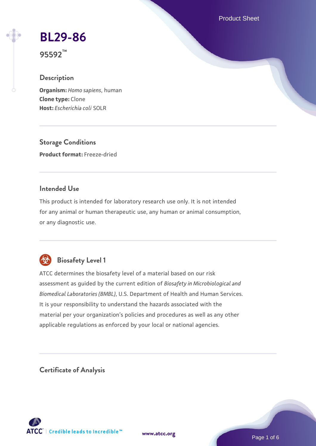Product Sheet

# **[BL29-86](https://www.atcc.org/products/95592)**

**95592™**

## **Description**

**Organism:** *Homo sapiens*, human **Clone type:** Clone **Host:** *Escherichia coli* SOLR

**Storage Conditions Product format:** Freeze-dried

#### **Intended Use**

This product is intended for laboratory research use only. It is not intended for any animal or human therapeutic use, any human or animal consumption, or any diagnostic use.



## **Biosafety Level 1**

ATCC determines the biosafety level of a material based on our risk assessment as guided by the current edition of *Biosafety in Microbiological and Biomedical Laboratories (BMBL)*, U.S. Department of Health and Human Services. It is your responsibility to understand the hazards associated with the material per your organization's policies and procedures as well as any other applicable regulations as enforced by your local or national agencies.

**Certificate of Analysis**

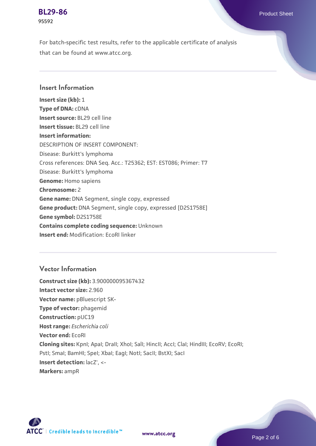**[BL29-86](https://www.atcc.org/products/95592)** Product Sheet **95592**

For batch-specific test results, refer to the applicable certificate of analysis that can be found at www.atcc.org.

#### **Insert Information**

**Insert size (kb):** 1 **Type of DNA:** cDNA **Insert source:** BL29 cell line **Insert tissue:** BL29 cell line **Insert information:** DESCRIPTION OF INSERT COMPONENT: Disease: Burkitt's lymphoma Cross references: DNA Seq. Acc.: T25362; EST: EST086; Primer: T7 Disease: Burkitt's lymphoma **Genome:** Homo sapiens **Chromosome:** 2 **Gene name:** DNA Segment, single copy, expressed **Gene product:** DNA Segment, single copy, expressed [D2S1758E] **Gene symbol:** D2S1758E **Contains complete coding sequence:** Unknown **Insert end:** Modification: EcoRI linker

## **Vector Information**

**Construct size (kb):** 3.900000095367432 **Intact vector size:** 2.960 **Vector name: pBluescript SK-Type of vector:** phagemid **Construction:** pUC19 **Host range:** *Escherichia coli* **Vector end:** EcoRI **Cloning sites:** KpnI; ApaI; DraII; XhoI; SalI; HincII; AccI; ClaI; HindIII; EcoRV; EcoRI; Pstl; Smal; BamHI; Spel; Xbal; EagI; NotI; SacII; BstXI; SacI **Insert detection:**  $lacZ'$ **, <-Markers:** ampR



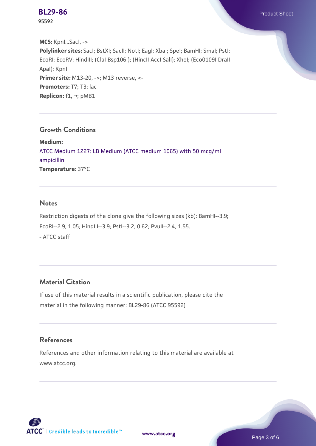**95592**

**MCS:** KpnI...SacI, -> **Polylinker sites:** SacI; BstXI; SacII; NotI; EagI; XbaI; SpeI; BamHI; SmaI; PstI; EcoRI; EcoRV; HindIII; (ClaI Bsp106I); (HincII AccI SalI); XhoI; (Eco0109I DraII ApaI); KpnI **Primer site:** M13-20, ->; M13 reverse, <-Promoters: T7; T3; lac **Replicon:** f1, →; pMB1

#### **Growth Conditions**

**Medium:**  [ATCC Medium 1227: LB Medium \(ATCC medium 1065\) with 50 mcg/ml](https://www.atcc.org/-/media/product-assets/documents/microbial-media-formulations/1/2/2/7/atcc-medium-1227.pdf?rev=581c98603b3e4b29a6d62ee0ba9ca578) [ampicillin](https://www.atcc.org/-/media/product-assets/documents/microbial-media-formulations/1/2/2/7/atcc-medium-1227.pdf?rev=581c98603b3e4b29a6d62ee0ba9ca578) **Temperature:** 37°C

#### **Notes**

Restriction digests of the clone give the following sizes (kb): BamHI--3.9; EcoRI--2.9, 1.05; HindIII--3.9; PstI--3.2, 0.62; PvuII--2.4, 1.55. - ATCC staff

## **Material Citation**

If use of this material results in a scientific publication, please cite the material in the following manner: BL29-86 (ATCC 95592)

#### **References**

References and other information relating to this material are available at www.atcc.org.





Page 3 of 6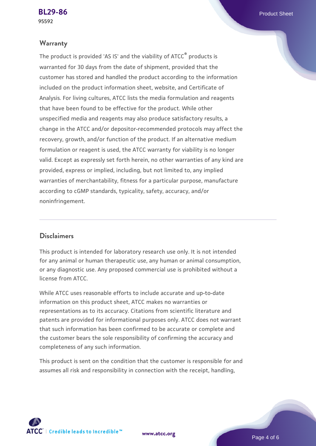#### **Warranty**

The product is provided 'AS IS' and the viability of ATCC® products is warranted for 30 days from the date of shipment, provided that the customer has stored and handled the product according to the information included on the product information sheet, website, and Certificate of Analysis. For living cultures, ATCC lists the media formulation and reagents that have been found to be effective for the product. While other unspecified media and reagents may also produce satisfactory results, a change in the ATCC and/or depositor-recommended protocols may affect the recovery, growth, and/or function of the product. If an alternative medium formulation or reagent is used, the ATCC warranty for viability is no longer valid. Except as expressly set forth herein, no other warranties of any kind are provided, express or implied, including, but not limited to, any implied warranties of merchantability, fitness for a particular purpose, manufacture according to cGMP standards, typicality, safety, accuracy, and/or noninfringement.

#### **Disclaimers**

This product is intended for laboratory research use only. It is not intended for any animal or human therapeutic use, any human or animal consumption, or any diagnostic use. Any proposed commercial use is prohibited without a license from ATCC.

While ATCC uses reasonable efforts to include accurate and up-to-date information on this product sheet, ATCC makes no warranties or representations as to its accuracy. Citations from scientific literature and patents are provided for informational purposes only. ATCC does not warrant that such information has been confirmed to be accurate or complete and the customer bears the sole responsibility of confirming the accuracy and completeness of any such information.

This product is sent on the condition that the customer is responsible for and assumes all risk and responsibility in connection with the receipt, handling,



**[www.atcc.org](http://www.atcc.org)**

Page 4 of 6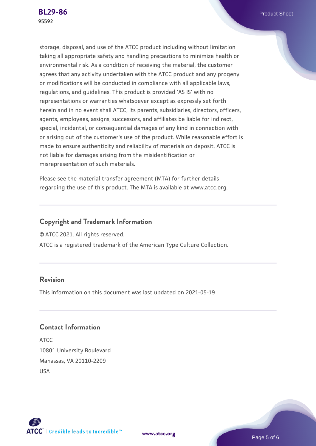storage, disposal, and use of the ATCC product including without limitation taking all appropriate safety and handling precautions to minimize health or environmental risk. As a condition of receiving the material, the customer agrees that any activity undertaken with the ATCC product and any progeny or modifications will be conducted in compliance with all applicable laws, regulations, and guidelines. This product is provided 'AS IS' with no representations or warranties whatsoever except as expressly set forth herein and in no event shall ATCC, its parents, subsidiaries, directors, officers, agents, employees, assigns, successors, and affiliates be liable for indirect, special, incidental, or consequential damages of any kind in connection with or arising out of the customer's use of the product. While reasonable effort is made to ensure authenticity and reliability of materials on deposit, ATCC is not liable for damages arising from the misidentification or misrepresentation of such materials.

Please see the material transfer agreement (MTA) for further details regarding the use of this product. The MTA is available at www.atcc.org.

## **Copyright and Trademark Information**

© ATCC 2021. All rights reserved.

ATCC is a registered trademark of the American Type Culture Collection.

#### **Revision**

This information on this document was last updated on 2021-05-19

## **Contact Information**

ATCC 10801 University Boulevard Manassas, VA 20110-2209 USA